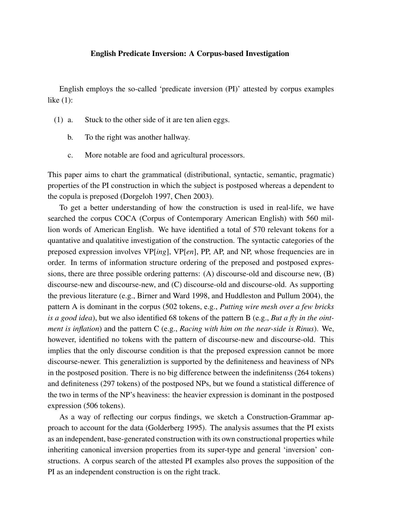## English Predicate Inversion: A Corpus-based Investigation

English employs the so-called 'predicate inversion (PI)' attested by corpus examples like (1):

- (1) a. Stuck to the other side of it are ten alien eggs.
	- b. To the right was another hallway.
	- c. More notable are food and agricultural processors.

This paper aims to chart the grammatical (distributional, syntactic, semantic, pragmatic) properties of the PI construction in which the subject is postposed whereas a dependent to the copula is preposed (Dorgeloh 1997, Chen 2003).

To get a better understanding of how the construction is used in real-life, we have searched the corpus COCA (Corpus of Contemporary American English) with 560 million words of American English. We have identified a total of 570 relevant tokens for a quantative and qualatitive investigation of the construction. The syntactic categories of the preposed expression involves VP[*ing*], VP[*en*], PP, AP, and NP, whose frequencies are in order. In terms of information structure ordering of the preposed and postposed expressions, there are three possible ordering patterns: (A) discourse-old and discourse new, (B) discourse-new and discourse-new, and (C) discourse-old and discourse-old. As supporting the previous literature (e.g., Birner and Ward 1998, and Huddleston and Pullum 2004), the pattern A is dominant in the corpus (502 tokens, e.g., *Putting wire mesh over a few bricks is a good idea*), but we also identified 68 tokens of the pattern B (e.g., *But a fly in the ointment is inflation*) and the pattern C (e.g., *Racing with him on the near-side is Rinus*). We, however, identified no tokens with the pattern of discourse-new and discourse-old. This implies that the only discourse condition is that the preposed expression cannot be more discourse-newer. This generaliztion is supported by the definiteness and heaviness of NPs in the postposed position. There is no big difference between the indefinitenss (264 tokens) and definiteness (297 tokens) of the postposed NPs, but we found a statistical difference of the two in terms of the NP's heaviness: the heavier expression is dominant in the postposed expression (506 tokens).

As a way of reflecting our corpus findings, we sketch a Construction-Grammar approach to account for the data (Golderberg 1995). The analysis assumes that the PI exists as an independent, base-generated construction with its own constructional properties while inheriting canonical inversion properties from its super-type and general 'inversion' constructions. A corpus search of the attested PI examples also proves the supposition of the PI as an independent construction is on the right track.